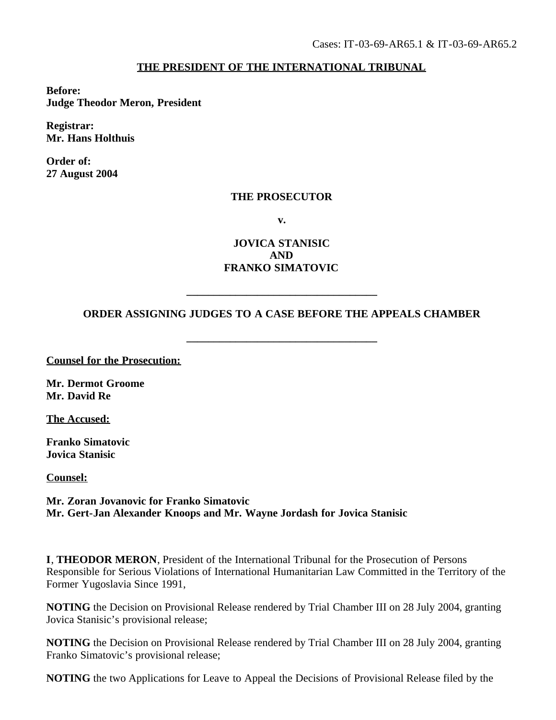## **THE PRESIDENT OF THE INTERNATIONAL TRIBUNAL**

**Before: Judge Theodor Meron, President**

**Registrar: Mr. Hans Holthuis**

**Order of: 27 August 2004**

## **THE PROSECUTOR**

**v.**

**JOVICA STANISIC AND FRANKO SIMATOVIC**

## **ORDER ASSIGNING JUDGES TO A CASE BEFORE THE APPEALS CHAMBER**

**\_\_\_\_\_\_\_\_\_\_\_\_\_\_\_\_\_\_\_\_\_\_\_\_\_\_\_\_\_\_\_\_\_\_\_**

**\_\_\_\_\_\_\_\_\_\_\_\_\_\_\_\_\_\_\_\_\_\_\_\_\_\_\_\_\_\_\_\_\_\_\_**

**Counsel for the Prosecution:**

**Mr. Dermot Groome Mr. David Re**

**The Accused:**

**Franko Simatovic Jovica Stanisic**

**Counsel:**

**Mr. Zoran Jovanovic for Franko Simatovic Mr. Gert-Jan Alexander Knoops and Mr. Wayne Jordash for Jovica Stanisic**

**I**, **THEODOR MERON**, President of the International Tribunal for the Prosecution of Persons Responsible for Serious Violations of International Humanitarian Law Committed in the Territory of the Former Yugoslavia Since 1991,

**NOTING** the Decision on Provisional Release rendered by Trial Chamber III on 28 July 2004, granting Jovica Stanisic's provisional release;

**NOTING** the Decision on Provisional Release rendered by Trial Chamber III on 28 July 2004, granting Franko Simatovic's provisional release;

**NOTING** the two Applications for Leave to Appeal the Decisions of Provisional Release filed by the